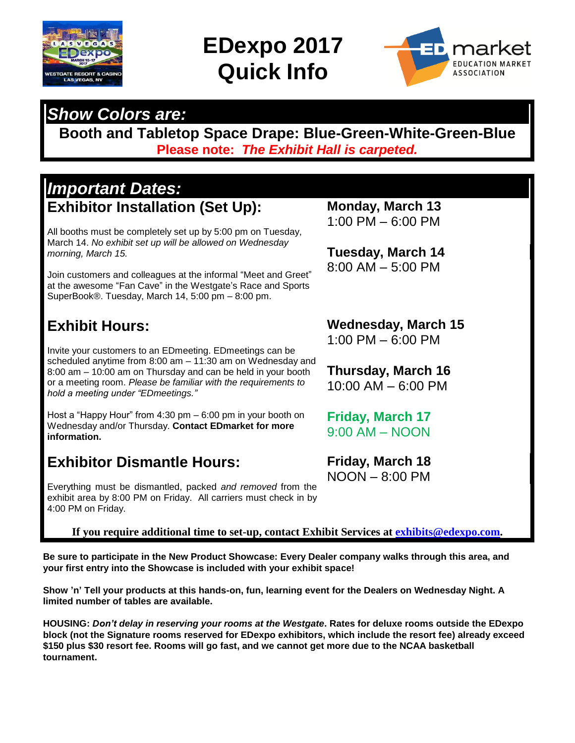

### **EDexpo 2017 Quick Info**



### *Show Colors are:*

**Booth and Tabletop Space Drape: Blue-Green-White-Green-Blue Please note:** *The Exhibit Hall is carpeted.*

#### *Important Dates:* **Exhibitor Installation (Set Up):**

All booths must be completely set up by 5:00 pm on Tuesday, March 14. *No exhibit set up will be allowed on Wednesday morning, March 15.*

Join customers and colleagues at the informal "Meet and Greet" at the awesome "Fan Cave" in the Westgate's Race and Sports SuperBook®. Tuesday, March 14, 5:00 pm – 8:00 pm.

#### **Exhibit Hours:**

Invite your customers to an EDmeeting. EDmeetings can be scheduled anytime from 8:00 am – 11:30 am on Wednesday and 8:00 am – 10:00 am on Thursday and can be held in your booth or a meeting room. *Please be familiar with the requirements to hold a meeting under "EDmeetings."*

Host a "Happy Hour" from 4:30 pm – 6:00 pm in your booth on Wednesday and/or Thursday. **Contact EDmarket for more information.**

#### **Exhibitor Dismantle Hours:**

Everything must be dismantled, packed *and removed* from the exhibit area by 8:00 PM on Friday. All carriers must check in by 4:00 PM on Friday.

**If you require additional time to set-up, contact Exhibit Services at [exhibits@edexpo.com.](mailto:exhibits@edexpo.com)**

**Be sure to participate in the New Product Showcase: Every Dealer company walks through this area, and your first entry into the Showcase is included with your exhibit space!**

**Show 'n' Tell your products at this hands-on, fun, learning event for the Dealers on Wednesday Night. A limited number of tables are available.**

**HOUSING:** *Don't delay in reserving your rooms at the Westgate***. Rates for deluxe rooms outside the EDexpo block (not the Signature rooms reserved for EDexpo exhibitors, which include the resort fee) already exceed \$150 plus \$30 resort fee. Rooms will go fast, and we cannot get more due to the NCAA basketball tournament.**

**Monday, March 13** 1:00 PM – 6:00 PM

**Tuesday, March 14** 8:00 AM – 5:00 PM

**Wednesday, March 15** 1:00 PM – 6:00 PM

**Thursday, March 16** 10:00 AM – 6:00 PM

**Friday, March 17** 9:00 AM – NOON

**Friday, March 18** NOON – 8:00 PM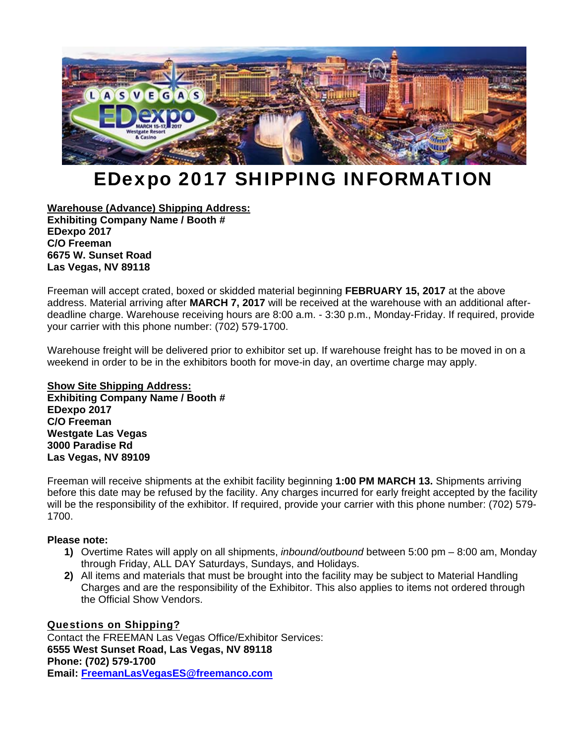

### EDexpo 2017 SHIPPING INFORMATION

**Warehouse (Advance) Shipping Address: Exhibiting Company Name / Booth # EDexpo 2017 C/O Freeman 6675 W. Sunset Road Las Vegas, NV 89118** 

Freeman will accept crated, boxed or skidded material beginning **FEBRUARY 15, 2017** at the above address. Material arriving after **MARCH 7, 2017** will be received at the warehouse with an additional afterdeadline charge. Warehouse receiving hours are 8:00 a.m. - 3:30 p.m., Monday-Friday. If required, provide your carrier with this phone number: (702) 579-1700.

Warehouse freight will be delivered prior to exhibitor set up. If warehouse freight has to be moved in on a weekend in order to be in the exhibitors booth for move-in day, an overtime charge may apply.

#### **Show Site Shipping Address: Exhibiting Company Name / Booth # EDexpo 2017 C/O Freeman Westgate Las Vegas 3000 Paradise Rd Las Vegas, NV 89109**

Freeman will receive shipments at the exhibit facility beginning **1:00 PM MARCH 13.** Shipments arriving before this date may be refused by the facility. Any charges incurred for early freight accepted by the facility will be the responsibility of the exhibitor. If required, provide your carrier with this phone number: (702) 579-1700.

#### **Please note:**

- **1)** Overtime Rates will apply on all shipments, *inbound/outbound* between 5:00 pm 8:00 am, Monday through Friday, ALL DAY Saturdays, Sundays, and Holidays.
- **2)** All items and materials that must be brought into the facility may be subject to Material Handling Charges and are the responsibility of the Exhibitor. This also applies to items not ordered through the Official Show Vendors.

#### Questions on Shipping?

Contact the FREEMAN Las Vegas Office/Exhibitor Services: **6555 West Sunset Road, Las Vegas, NV 89118 Phone: (702) 579-1700 Email: FreemanLasVegasES@freemanco.com**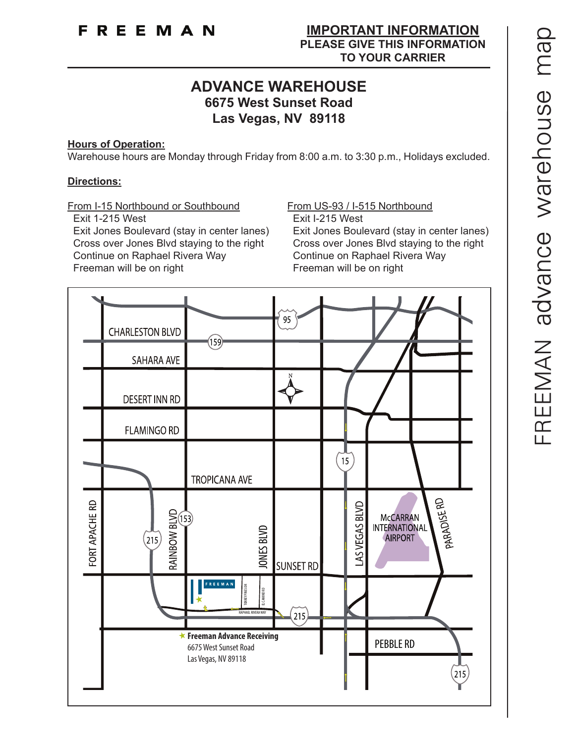#### **ADVANCE WAREHOUSE 6675 West Sunset Road Las Vegas, NV 89118**

#### **Hours of Operation:**

Warehouse hours are Monday through Friday from 8:00 a.m. to 3:30 p.m., Holidays excluded.

#### **Directions:**

From I-15 Northbound or Southbound From US-93 / I-515 Northbound

 Exit 1-215 West Exit I-215 West Exit Jones Boulevard (stay in center lanes) Exit Jones Boulevard (stay in center lanes) Cross over Jones Blvd staying to the right Cross over Jones Blvd staying to the right Continue on Raphael Rivera Way Continue on Raphael Rivera Way Freeman will be on right Freeman will be on right

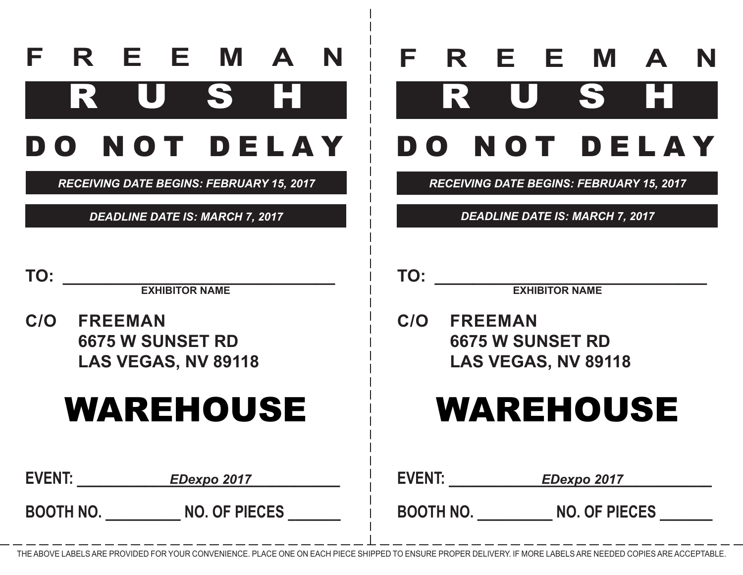|  |  | F R E E M A N       |  |
|--|--|---------------------|--|
|  |  | RUSH                |  |
|  |  | <b>DO NOT DELAY</b> |  |

*RECEIVING DATE BEGINS: FEBRUARY 15, 2017*

*DEADLINE DATE IS: MARCH 7, 2017*

|  |  | F R E E M A N       |  |
|--|--|---------------------|--|
|  |  | RUSHI               |  |
|  |  | <b>DO NOT DELAY</b> |  |

*RECEIVING DATE BEGINS: FEBRUARY 15, 2017*

*DEADLINE DATE IS: MARCH 7, 2017*

**EXHIBITOR NAME** 

**C/O FREEMAN 6675 W SUNSET RDLAS VEGAS, NV 89118**

## WAREHOUSE

**EVENT: \_\_\_\_\_\_\_\_\_\_\_\_\_\_\_\_\_\_\_\_\_\_\_\_\_\_\_\_\_\_\_\_\_\_\_ EVENT: \_\_\_\_\_\_\_\_\_\_\_\_\_\_\_\_\_\_\_\_\_\_\_\_\_\_\_\_\_\_\_\_\_\_\_** *EDexpo 2017 EDexpo 2017*

**BOOTH NO. \_\_\_\_\_\_\_\_\_\_ NO. OF PIECES \_\_\_\_\_\_\_**

**TO:**

**EXHIBITOR NAME** 

**C/O FREEMAN 6675 W SUNSET RDLAS VEGAS, NV 89118**

### WAREHOUSE

**BOOTH NO. \_\_\_\_\_\_\_\_\_\_ NO. OF PIECES \_\_\_\_\_\_\_**